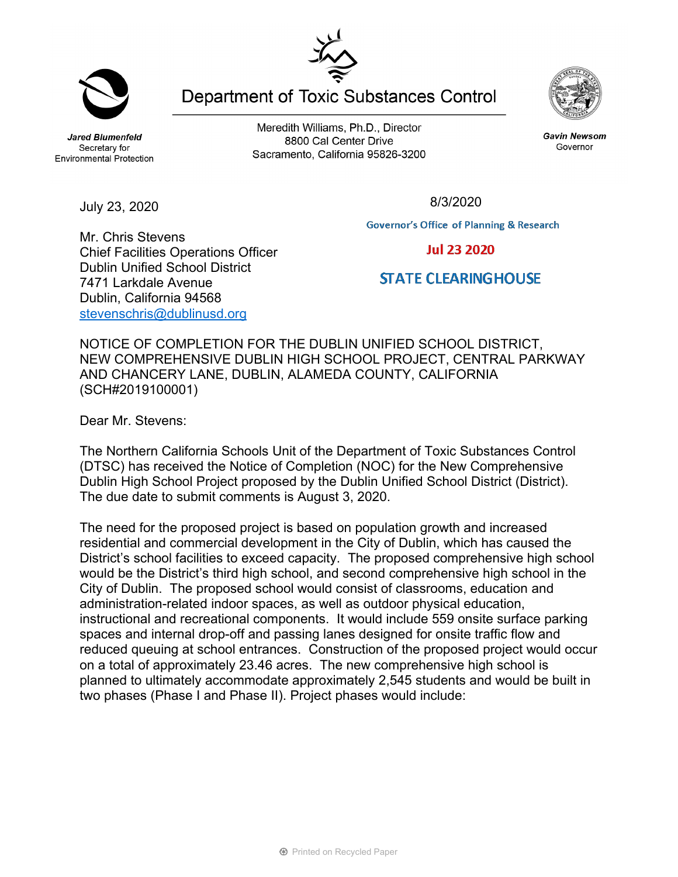Meredith Williams, Ph.D., Director 8800 Cal Center Drive Sacramento, California 95826-3200

July 23, 2020

Mr. Chris Stevens

7471 Larkdale Avenue Dublin, California 94568 [stevenschris@dublinusd.org](mailto:stevenschris@dublinusd.org)

Chief Facilities Operations Officer Dublin Unified School District

**Governor's Office of Planning & Research** 

**Jul 23 2020** 

## **STATE CLEARING HOUSE**

NOTICE OF COMPLETION FOR THE DUBLIN UNIFIED SCHOOL DISTRICT, NEW COMPREHENSIVE DUBLIN HIGH SCHOOL PROJECT, CENTRAL PARKWAY AND CHANCERY LANE, DUBLIN, ALAMEDA COUNTY, CALIFORNIA (SCH#2019100001)

Dear Mr. Stevens:

The Northern California Schools Unit of the Department of Toxic Substances Control (DTSC) has received the Notice of Completion (NOC) for the New Comprehensive Dublin High School Project proposed by the Dublin Unified School District (District). The due date to submit comments is August 3, 2020.

The need for the proposed project is based on population growth and increased residential and commercial development in the City of Dublin, which has caused the District's school facilities to exceed capacity. The proposed comprehensive high school would be the District's third high school, and second comprehensive high school in the City of Dublin. The proposed school would consist of classrooms, education and administration-related indoor spaces, as well as outdoor physical education, instructional and recreational components. It would include 559 onsite surface parking spaces and internal drop-off and passing lanes designed for onsite traffic flow and reduced queuing at school entrances. Construction of the proposed project would occur on a total of approximately 23.46 acres. The new comprehensive high school is planned to ultimately accommodate approximately 2,545 students and would be built in two phases (Phase I and Phase II). Project phases would include:



**Jared Blumenfeld** 

Secretary for

Environmental Protection

Gavin Newsom Governor

8/3/2020



**Department of Toxic Substances Control**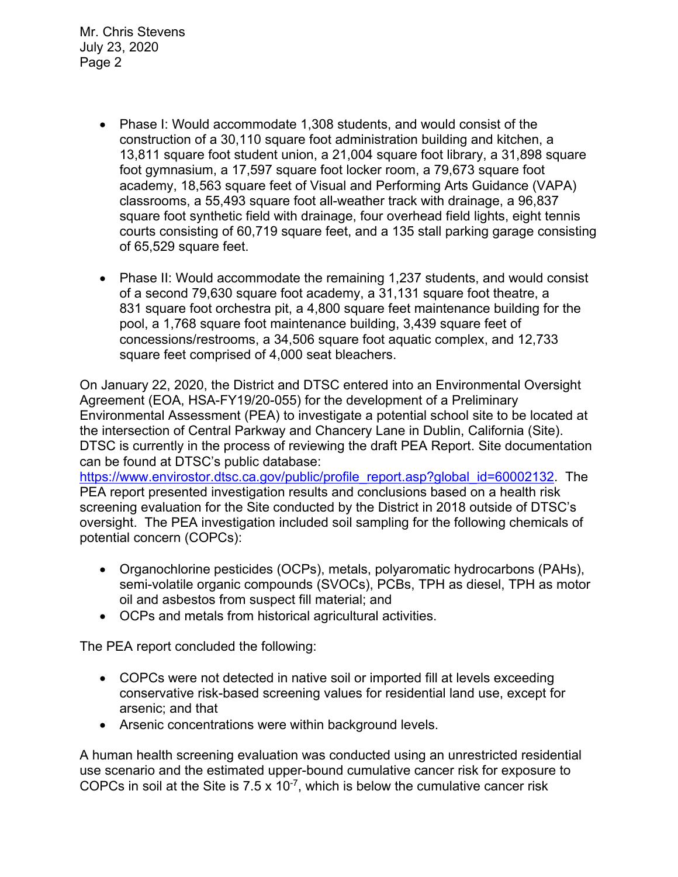- Phase I: Would accommodate 1,308 students, and would consist of the construction of a 30,110 square foot administration building and kitchen, a 13,811 square foot student union, a 21,004 square foot library, a 31,898 square foot gymnasium, a 17,597 square foot locker room, a 79,673 square foot academy, 18,563 square feet of Visual and Performing Arts Guidance (VAPA) classrooms, a 55,493 square foot all-weather track with drainage, a 96,837 square foot synthetic field with drainage, four overhead field lights, eight tennis courts consisting of 60,719 square feet, and a 135 stall parking garage consisting of 65,529 square feet.
- Phase II: Would accommodate the remaining 1,237 students, and would consist of a second 79,630 square foot academy, a 31,131 square foot theatre, a 831 square foot orchestra pit, a 4,800 square feet maintenance building for the pool, a 1,768 square foot maintenance building, 3,439 square feet of concessions/restrooms, a 34,506 square foot aquatic complex, and 12,733 square feet comprised of 4,000 seat bleachers.

On January 22, 2020, the District and DTSC entered into an Environmental Oversight Agreement (EOA, HSA-FY19/20-055) for the development of a Preliminary Environmental Assessment (PEA) to investigate a potential school site to be located at the intersection of Central Parkway and Chancery Lane in Dublin, California (Site). DTSC is currently in the process of reviewing the draft PEA Report. Site documentation can be found at DTSC's public database:

[https://www.envirostor.dtsc.ca.gov/public/profile\\_report.asp?global\\_id=60002132.](https://www.envirostor.dtsc.ca.gov/public/profile_report.asp?global_id=60002132) The PEA report presented investigation results and conclusions based on a health risk screening evaluation for the Site conducted by the District in 2018 outside of DTSC's oversight. The PEA investigation included soil sampling for the following chemicals of potential concern (COPCs):

- Organochlorine pesticides (OCPs), metals, polyaromatic hydrocarbons (PAHs), semi-volatile organic compounds (SVOCs), PCBs, TPH as diesel, TPH as motor oil and asbestos from suspect fill material; and
- OCPs and metals from historical agricultural activities.

The PEA report concluded the following:

- COPCs were not detected in native soil or imported fill at levels exceeding conservative risk-based screening values for residential land use, except for arsenic; and that
- Arsenic concentrations were within background levels.

A human health screening evaluation was conducted using an unrestricted residential use scenario and the estimated upper-bound cumulative cancer risk for exposure to COPCs in soil at the Site is  $7.5 \times 10^{-7}$ , which is below the cumulative cancer risk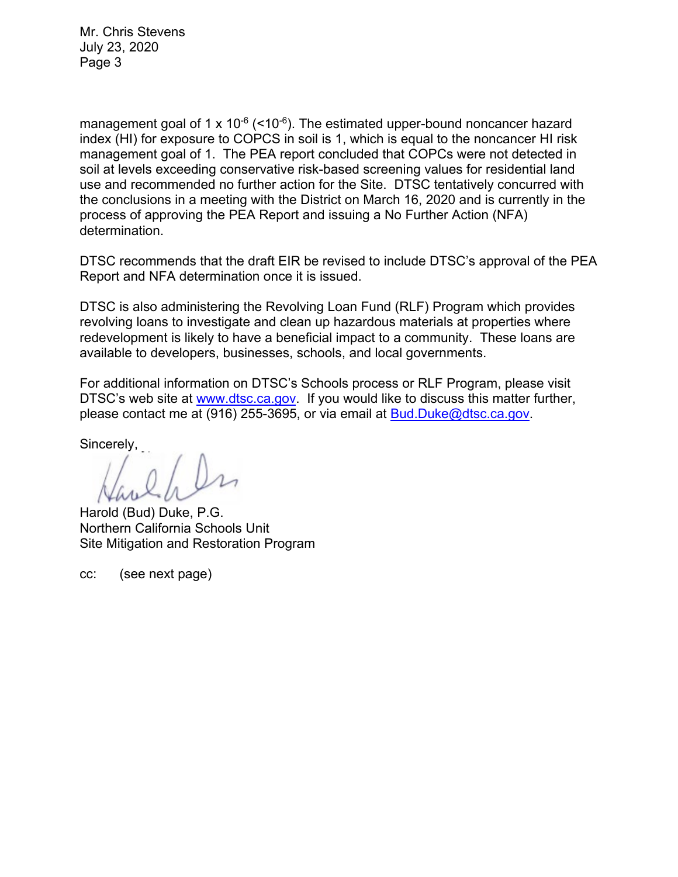management goal of 1 x  $10^{-6}$  (<10<sup>-6</sup>). The estimated upper-bound noncancer hazard index (HI) for exposure to COPCS in soil is 1, which is equal to the noncancer HI risk management goal of 1. The PEA report concluded that COPCs were not detected in soil at levels exceeding conservative risk-based screening values for residential land use and recommended no further action for the Site. DTSC tentatively concurred with the conclusions in a meeting with the District on March 16, 2020 and is currently in the process of approving the PEA Report and issuing a No Further Action (NFA) determination.

DTSC recommends that the draft EIR be revised to include DTSC's approval of the PEA Report and NFA determination once it is issued.

DTSC is also administering the Revolving Loan Fund (RLF) Program which provides revolving loans to investigate and clean up hazardous materials at properties where redevelopment is likely to have a beneficial impact to a community. These loans are available to developers, businesses, schools, and local governments.

For additional information on DTSC's Schools process or RLF Program, please visit DTSC's web site at [www.dtsc.ca.gov.](http://www.dtsc.ca.gov/) If you would like to discuss this matter further, please contact me at (916) 255-3695, or via email at [Bud.Duke@dtsc.ca.gov.](mailto:Bud.Duke@dtsc.ca.gov)

Sincerely,

Harold (Bud) Duke, P.G. Northern California Schools Unit Site Mitigation and Restoration Program

cc: (see next page)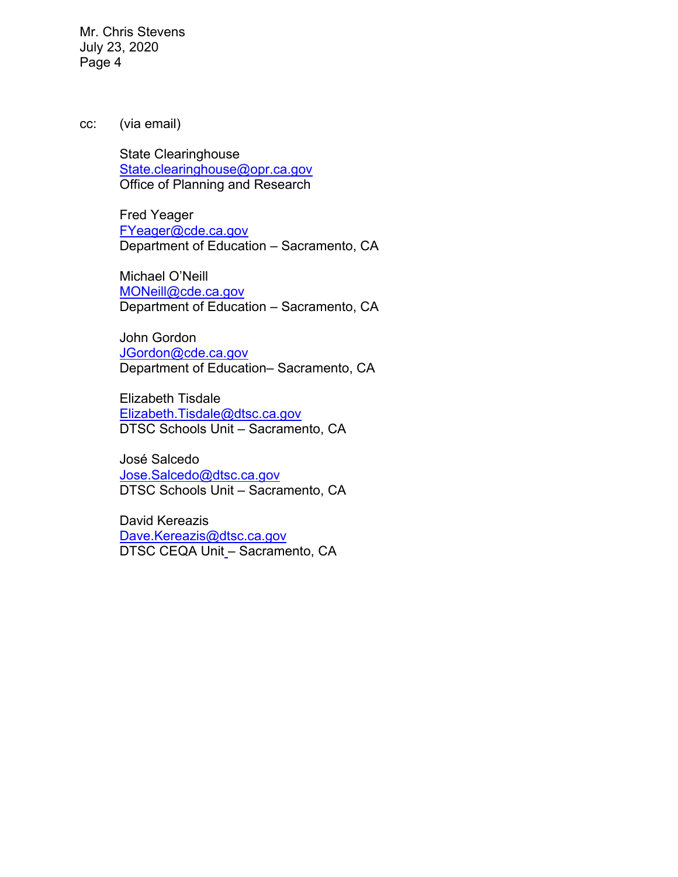cc: (via email)

State Clearinghouse [State.clearinghouse@opr.ca.gov](mailto:State.clearinghouse@opr.ca.gov) Office of Planning and Research

Fred Yeager [FYeager@cde.ca.gov](mailto:FYeager@cde.ca.gov) Department of Education – Sacramento, CA

Michael O'Neill [MONeill@cde.ca.gov](mailto:MONeill@cde.ca.gov) Department of Education – Sacramento, CA

John Gordon [JGordon@cde.ca.gov](mailto:JGordon@cde.ca.gov) Department of Education– Sacramento, CA

Elizabeth Tisdale [Elizabeth.Tisdale@dtsc.ca.gov](mailto:Elizabeth.Tisdale@dtsc.ca.gov) DTSC Schools Unit – Sacramento, CA

José Salcedo [Jose.Salcedo@dtsc.ca.gov](mailto:Jose.Salcedo@dtsc.ca.gov) DTSC Schools Unit – Sacramento, CA

David Kereazis [Dave.Kereazis@dtsc.ca.gov](mailto:Dave.Kereazis@dtsc.ca.gov) DTSC CEQA Unit – Sacramento, CA